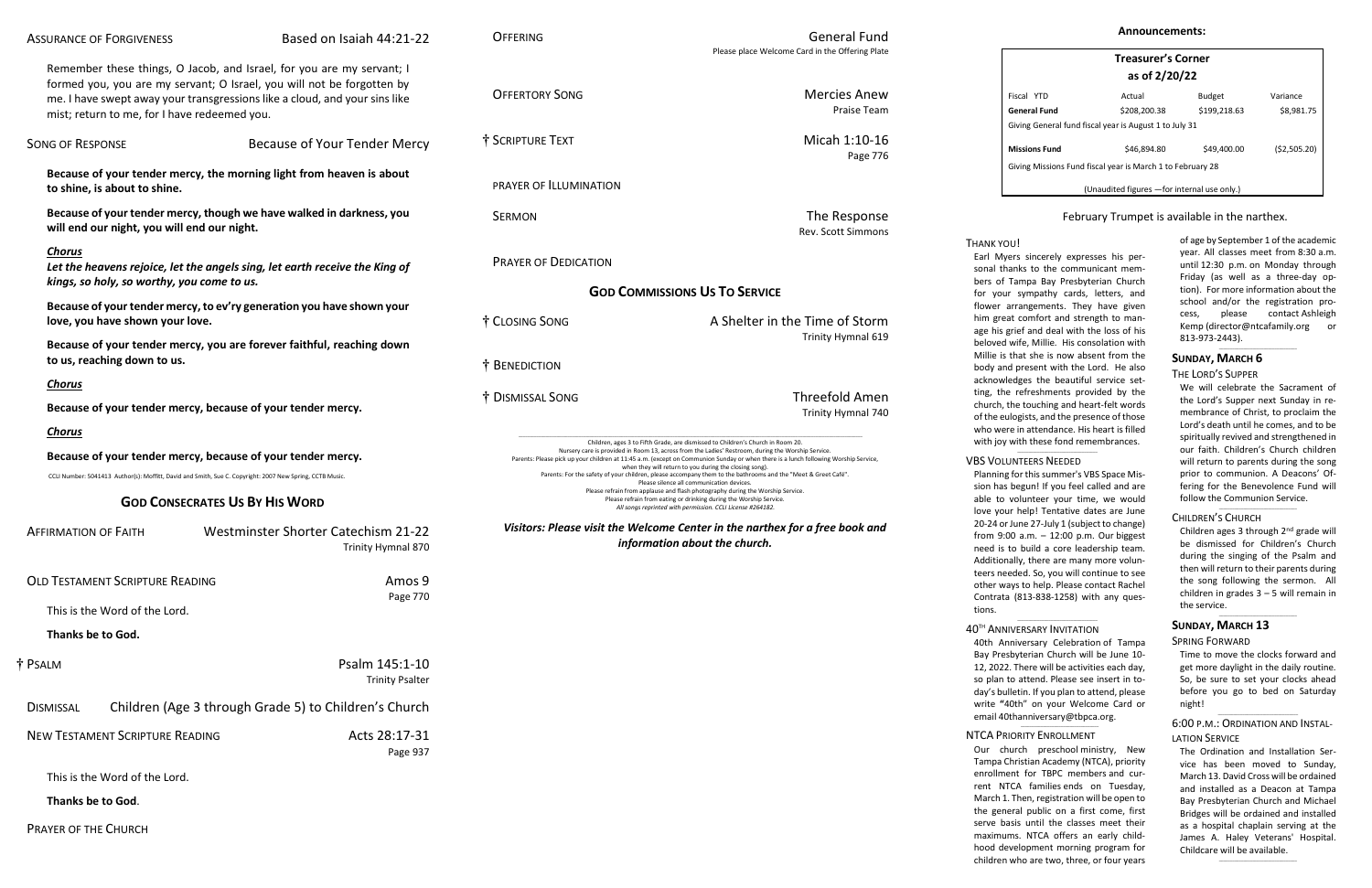Children ages 3 through 2<sup>nd</sup> grade will be dismissed for Children's Church during the singing of the Psalm and then will return to their parents during the song following the sermon. All children in grades 3 – 5 will remain in the service.

 $\_$ 

 $\_$ 

The Ordination and Installation Service has been moved to Sunday, March 13. David Cross will be ordained and installed as a Deacon at Tampa Bay Presbyterian Church and Michael Bridges will be ordained and installed as a hospital chaplain serving at the James A. Haley Veterans' Hospital. Childcare will be available.  $\_$ 

| <b>ASSURANCE OF FORGIVENESS</b>                                                                                                                                                                                                   | Based on Isaiah 44:21-22                                                                                                                                                                                                      | <b>OFFERING</b>                                                                                                                                                                                                                                                                                                                                                                                                                                                                                                                                                                                                                                                                                                                                                            | <b>General Fund</b><br>Please place Welcome Card in the Offering Plate                                        |                                                                                     |
|-----------------------------------------------------------------------------------------------------------------------------------------------------------------------------------------------------------------------------------|-------------------------------------------------------------------------------------------------------------------------------------------------------------------------------------------------------------------------------|----------------------------------------------------------------------------------------------------------------------------------------------------------------------------------------------------------------------------------------------------------------------------------------------------------------------------------------------------------------------------------------------------------------------------------------------------------------------------------------------------------------------------------------------------------------------------------------------------------------------------------------------------------------------------------------------------------------------------------------------------------------------------|---------------------------------------------------------------------------------------------------------------|-------------------------------------------------------------------------------------|
| mist; return to me, for I have redeemed you.                                                                                                                                                                                      | Remember these things, O Jacob, and Israel, for you are my servant; I<br>formed you, you are my servant; O Israel, you will not be forgotten by<br>me. I have swept away your transgressions like a cloud, and your sins like | <b>OFFERTORY SONG</b>                                                                                                                                                                                                                                                                                                                                                                                                                                                                                                                                                                                                                                                                                                                                                      | <b>Mercies Anew</b><br>Praise Team                                                                            |                                                                                     |
| <b>SONG OF RESPONSE</b>                                                                                                                                                                                                           | Because of Your Tender Mercy                                                                                                                                                                                                  | † SCRIPTURE TEXT                                                                                                                                                                                                                                                                                                                                                                                                                                                                                                                                                                                                                                                                                                                                                           | Micah 1:10-16<br>Page 776                                                                                     |                                                                                     |
| to shine, is about to shine.                                                                                                                                                                                                      | Because of your tender mercy, the morning light from heaven is about                                                                                                                                                          | PRAYER OF ILLUMINATION                                                                                                                                                                                                                                                                                                                                                                                                                                                                                                                                                                                                                                                                                                                                                     |                                                                                                               |                                                                                     |
| will end our night, you will end our night.                                                                                                                                                                                       | Because of your tender mercy, though we have walked in darkness, you                                                                                                                                                          | <b>SERMON</b>                                                                                                                                                                                                                                                                                                                                                                                                                                                                                                                                                                                                                                                                                                                                                              | The Response<br>Rev. Scott Simmons                                                                            |                                                                                     |
| <b>Chorus</b>                                                                                                                                                                                                                     | Let the heavens rejoice, let the angels sing, let earth receive the King of                                                                                                                                                   | <b>PRAYER OF DEDICATION</b>                                                                                                                                                                                                                                                                                                                                                                                                                                                                                                                                                                                                                                                                                                                                                |                                                                                                               | <b>THANK</b><br>Earl I<br>sonal<br>bers                                             |
| kings, so holy, so worthy, you come to us.                                                                                                                                                                                        |                                                                                                                                                                                                                               | <b>GOD COMMISSIONS US TO SERVICE</b>                                                                                                                                                                                                                                                                                                                                                                                                                                                                                                                                                                                                                                                                                                                                       |                                                                                                               | for y                                                                               |
| love, you have shown your love.                                                                                                                                                                                                   | Because of your tender mercy, to ev'ry generation you have shown your                                                                                                                                                         | † CLOSING SONG                                                                                                                                                                                                                                                                                                                                                                                                                                                                                                                                                                                                                                                                                                                                                             | A Shelter in the Time of Storm                                                                                | flowe<br>him g                                                                      |
| to us, reaching down to us.                                                                                                                                                                                                       | Because of your tender mercy, you are forever faithful, reaching down                                                                                                                                                         | † BENEDICTION                                                                                                                                                                                                                                                                                                                                                                                                                                                                                                                                                                                                                                                                                                                                                              | Trinity Hymnal 619                                                                                            | age h<br>belov<br>Millie<br>body                                                    |
| <b>Chorus</b>                                                                                                                                                                                                                     |                                                                                                                                                                                                                               |                                                                                                                                                                                                                                                                                                                                                                                                                                                                                                                                                                                                                                                                                                                                                                            |                                                                                                               | ackno                                                                               |
|                                                                                                                                                                                                                                   | Because of your tender mercy, because of your tender mercy.                                                                                                                                                                   | † DISMISSAL SONG                                                                                                                                                                                                                                                                                                                                                                                                                                                                                                                                                                                                                                                                                                                                                           | <b>Threefold Amen</b><br>Trinity Hymnal 740                                                                   | ting,<br>churc<br>of the                                                            |
| <b>Chorus</b><br>Because of your tender mercy, because of your tender mercy.<br>CCLI Number: 5041413 Author(s): Moffitt, David and Smith, Sue C. Copyright: 2007 New Spring, CCTB Music.<br><b>GOD CONSECRATES US BY HIS WORD</b> |                                                                                                                                                                                                                               | Children, ages 3 to Fifth Grade, are dismissed to Children's Church in Room 20.<br>Nursery care is provided in Room 13, across from the Ladies' Restroom, during the Worship Service.<br>Parents: Please pick up your children at 11:45 a.m. (except on Communion Sunday or when there is a lunch following Worship Service,<br>when they will return to you during the closing song).<br>Parents: For the safety of your children, please accompany them to the bathrooms and the "Meet & Greet Café".<br>Please silence all communication devices.<br>Please refrain from applause and flash photography during the Worship Service.<br>Please refrain from eating or drinking during the Worship Service.<br>All songs reprinted with permission. CCLI License #264182. |                                                                                                               | who v<br>with j<br>VBS <sub>Vo</sub><br>Plann<br>sion h<br>able 1<br>love $\lambda$ |
| <b>AFFIRMATION OF FAITH</b>                                                                                                                                                                                                       | Westminster Shorter Catechism 21-22<br>Trinity Hymnal 870                                                                                                                                                                     |                                                                                                                                                                                                                                                                                                                                                                                                                                                                                                                                                                                                                                                                                                                                                                            | Visitors: Please visit the Welcome Center in the narthex for a free book and<br>information about the church. | 20-24<br>from<br>need<br>Additi                                                     |
| <b>OLD TESTAMENT SCRIPTURE READING</b>                                                                                                                                                                                            | Amos 9<br>Page 770                                                                                                                                                                                                            |                                                                                                                                                                                                                                                                                                                                                                                                                                                                                                                                                                                                                                                                                                                                                                            |                                                                                                               | teers<br>other<br>Contr                                                             |
| This is the Word of the Lord.                                                                                                                                                                                                     |                                                                                                                                                                                                                               |                                                                                                                                                                                                                                                                                                                                                                                                                                                                                                                                                                                                                                                                                                                                                                            |                                                                                                               | tions.                                                                              |
| Thanks be to God.                                                                                                                                                                                                                 |                                                                                                                                                                                                                               |                                                                                                                                                                                                                                                                                                                                                                                                                                                                                                                                                                                                                                                                                                                                                                            |                                                                                                               | 40 <sup>TH</sup> Ar                                                                 |
| † Psalm                                                                                                                                                                                                                           | Psalm 145:1-10<br><b>Trinity Psalter</b>                                                                                                                                                                                      |                                                                                                                                                                                                                                                                                                                                                                                                                                                                                                                                                                                                                                                                                                                                                                            |                                                                                                               | 40th<br>Bay P<br>12, 20<br>so pla<br>day's                                          |
| <b>DISMISSAL</b>                                                                                                                                                                                                                  | Children (Age 3 through Grade 5) to Children's Church                                                                                                                                                                         |                                                                                                                                                                                                                                                                                                                                                                                                                                                                                                                                                                                                                                                                                                                                                                            |                                                                                                               | write<br>email                                                                      |
| <b>NEW TESTAMENT SCRIPTURE READING</b>                                                                                                                                                                                            | Acts 28:17-31<br>Page 937                                                                                                                                                                                                     |                                                                                                                                                                                                                                                                                                                                                                                                                                                                                                                                                                                                                                                                                                                                                                            |                                                                                                               | <b>NTCA</b><br>Our<br>Tamp                                                          |
| This is the Word of the Lord.                                                                                                                                                                                                     |                                                                                                                                                                                                                               |                                                                                                                                                                                                                                                                                                                                                                                                                                                                                                                                                                                                                                                                                                                                                                            |                                                                                                               | enroll                                                                              |
| Thanks be to God.                                                                                                                                                                                                                 |                                                                                                                                                                                                                               |                                                                                                                                                                                                                                                                                                                                                                                                                                                                                                                                                                                                                                                                                                                                                                            |                                                                                                               | rent<br>March<br>the g                                                              |
| <b>PRAYER OF THE CHURCH</b>                                                                                                                                                                                                       |                                                                                                                                                                                                                               |                                                                                                                                                                                                                                                                                                                                                                                                                                                                                                                                                                                                                                                                                                                                                                            |                                                                                                               | serve<br>maxir<br>hood                                                              |

#### \_\_\_\_\_\_\_\_\_\_\_\_\_\_\_\_\_\_\_\_\_\_\_\_\_\_\_\_\_\_\_\_\_\_\_\_ **ITH ANNIVERSARY INVITATION**

| <b>Treasurer's Corner</b>                                  |              |               |             |  |
|------------------------------------------------------------|--------------|---------------|-------------|--|
| as of 2/20/22                                              |              |               |             |  |
| Fiscal YTD                                                 | Actual       | <b>Budget</b> | Variance    |  |
| General Fund                                               | \$208,200.38 | \$199,218.63  | \$8,981.75  |  |
| Giving General fund fiscal year is August 1 to July 31     |              |               |             |  |
| <b>Missions Fund</b>                                       | \$46.894.80  | \$49,400.00   | (52,505.20) |  |
| Giving Missions Fund fiscal year is March 1 to February 28 |              |               |             |  |
| (Unaudited figures - for internal use only.)               |              |               |             |  |

#### February Trumpet is available in the narthex.

#### IANK YOU!

of age by September 1 of the academic year. All classes meet from 8:30 a.m. until 12:30 p.m. on Monday through Friday (as well as a three-day option). For more information about the school and/or the registration process, please contact Ashleigh Kemp [\(director@ntcafamily.org](mailto:director@ntcafamily.org) or 813-973-2443).

 $\_$ 

#### **SUNDAY, MARCH 6**

#### THE LORD'S SUPPER

We will celebrate the Sacrament of the Lord's Supper next Sunday in remembrance of Christ, to proclaim the Lord's death until he comes, and to be spiritually revived and strengthened in our faith. Children's Church children will return to parents during the song prior to communion. A Deacons' Offering for the Benevolence Fund will follow the Communion Service.

#### CHILDREN'S CHURCH

#### **SUNDAY, MARCH 13**

#### SPRING FORWARD

Time to move the clocks forward and get more daylight in the daily routine. So, be sure to set your clocks ahead before you go to bed on Saturday night!

#### \_\_\_\_\_\_\_\_\_\_\_\_\_\_\_\_\_\_\_\_\_\_\_\_\_\_\_\_\_\_\_\_\_\_\_\_ 6:00 P.M.: ORDINATION AND INSTAL-

#### LATION SERVICE

Earl Myers sincerely expresses his peronal thanks to the communicant members of Tampa Bay Presbyterian Church for your sympathy cards, letters, and lower arrangements. They have given him great comfort and strength to manage his grief and deal with the loss of his beloved wife, Millie. His consolation with Millie is that she is now absent from the body and present with the Lord. He also acknowledges the beautiful service seting, the refreshments provided by the church, the touching and heart-felt words of the eulogists, and the presence of those who were in attendance. His heart is filled with joy with these fond remembrances.

#### **SS VOLUNTEERS NEEDED**

 $\_$ 

Planning for this summer's VBS Space Mission has begun! If you feel called and are able to volunteer your time, we would love your help! Tentative dates are June 20-24 or June 27-July 1 (subject to change) from 9:00 a.m. – 12:00 p.m. Our biggest need is to build a core leadership team. Additionally, there are many more voluneers needed. So, you will continue to see other ways to help. Please contact Rachel Contrata (813-838-1258) with any ques-

40th Anniversary Celebration of Tampa Bay Presbyterian Church will be June 10- 12, 2022. There will be activities each day, so plan to attend. Please see insert in today's bulletin. If you plan to attend, please write **"**40th" on your Welcome Card or emai[l 40thanniversary@tbpca.org.](mailto:40thanniversary@tbpca.org)

#### $\_$ **CA PRIORITY ENROLLMENT**

Our church preschool ministry, New Tampa Christian Academy (NTCA), priority enrollment for TBPC members and current NTCA families ends on Tuesday, March 1. Then, registration will be open to he general public on a first come, first erve basis until the classes meet their maximums. NTCA offers an early childhood development morning program for children who are two, three, or four years